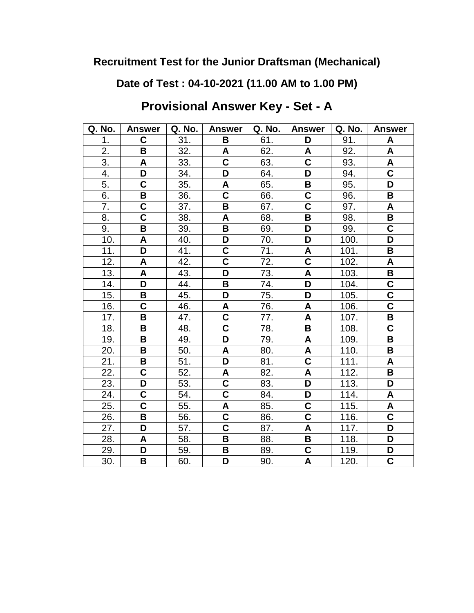**Date of Test : 04-10-2021 (11.00 AM to 1.00 PM)**

**Provisional Answer Key - Set - A**

| Q. No. | <b>Answer</b>                      | Q. No. | <b>Answer</b>           | Q. No. | <b>Answer</b>             | Q. No. | <b>Answer</b>             |
|--------|------------------------------------|--------|-------------------------|--------|---------------------------|--------|---------------------------|
| 1.     | $\mathbf C$                        | 31.    | B                       | 61.    | D                         | 91.    | A                         |
| 2.     | B                                  | 32.    | A                       | 62.    | A                         | 92.    | A                         |
| 3.     | A                                  | 33.    | C                       | 63.    | $\overline{\mathsf{c}}$   | 93.    | A                         |
| 4.     | D                                  | 34.    | D                       | 64.    | D                         | 94.    | $\overline{\mathbf{c}}$   |
| 5.     | C                                  | 35.    | A                       | 65.    | B                         | 95.    | D                         |
| 6.     | B                                  | 36.    | $\overline{\mathsf{C}}$ | 66.    | $\overline{\mathsf{c}}$   | 96.    | B                         |
| 7.     | C                                  | 37.    | B                       | 67.    | $\overline{\mathsf{C}}$   | 97.    | $\boldsymbol{\mathsf{A}}$ |
| 8.     | $\overline{\mathbf{C}}$            | 38.    | $\pmb{\mathsf{A}}$      | 68.    | B                         | 98.    | B                         |
| 9.     | B                                  | 39.    | B                       | 69.    | D                         | 99.    | $\overline{\mathsf{C}}$   |
| 10.    | A                                  | 40.    | D                       | 70.    | D                         | 100.   | D                         |
| 11.    | D                                  | 41.    | $\overline{\mathsf{C}}$ | 71.    | A                         | 101.   | B                         |
| 12.    | A                                  | 42.    | $\overline{\mathsf{c}}$ | 72.    | $\overline{\mathbf{C}}$   | 102.   | $\boldsymbol{\mathsf{A}}$ |
| 13.    | A                                  | 43.    | D                       | 73.    | A                         | 103.   | B                         |
| 14.    | D                                  | 44.    | B                       | 74.    | D                         | 104.   | $\overline{\mathsf{C}}$   |
| 15.    | B                                  | 45.    | D                       | 75.    | $\overline{\mathsf{D}}$   | 105.   | $\overline{\textbf{c}}$   |
| 16.    | $\overline{\mathsf{C}}$            | 46.    | A                       | 76.    | A                         | 106.   | $\overline{\mathsf{c}}$   |
| 17.    | В                                  | 47.    | $\overline{\mathsf{C}}$ | 77.    | A                         | 107.   | B                         |
| 18.    | B                                  | 48.    | C                       | 78.    | B                         | 108.   | $\mathbf C$               |
| 19.    | В                                  | 49.    | D                       | 79.    | A                         | 109.   | B                         |
| 20.    | B                                  | 50.    | A                       | 80.    | A                         | 110.   | B                         |
| 21.    | B                                  | 51.    | D                       | 81.    | $\overline{\mathbf{C}}$   | 111.   | A                         |
| 22.    | $\overline{\mathbf{C}}$            | 52.    | A                       | 82.    | $\boldsymbol{\mathsf{A}}$ | 112.   | $\pmb{\mathsf{B}}$        |
| 23.    | D                                  | 53.    | $\overline{\mathbf{C}}$ | 83.    | $\overline{\mathsf{D}}$   | 113.   | D                         |
| 24.    | $\overline{\mathbf{C}}$            | 54.    | $\overline{\mathbf{C}}$ | 84.    | D                         | 114.   | A                         |
| 25.    | $\overline{\overline{\mathsf{c}}}$ | 55.    | $\overline{\mathsf{A}}$ | 85.    | $\overline{\mathsf{C}}$   | 115.   | A                         |
| 26.    | B                                  | 56.    | $\overline{\mathbf{C}}$ | 86.    | $\overline{\mathbf{C}}$   | 116.   | $\overline{\mathsf{c}}$   |
| 27.    | D                                  | 57.    | $\overline{\mathsf{c}}$ | 87.    | $\boldsymbol{\mathsf{A}}$ | 117.   | D                         |
| 28.    | A                                  | 58.    | B                       | 88.    | B                         | 118.   | D                         |
| 29.    | D                                  | 59.    | B                       | 89.    | $\overline{\textbf{c}}$   | 119.   | D                         |
| 30.    | В                                  | 60.    | D                       | 90.    | $\overline{\mathsf{A}}$   | 120.   | $\overline{\mathsf{C}}$   |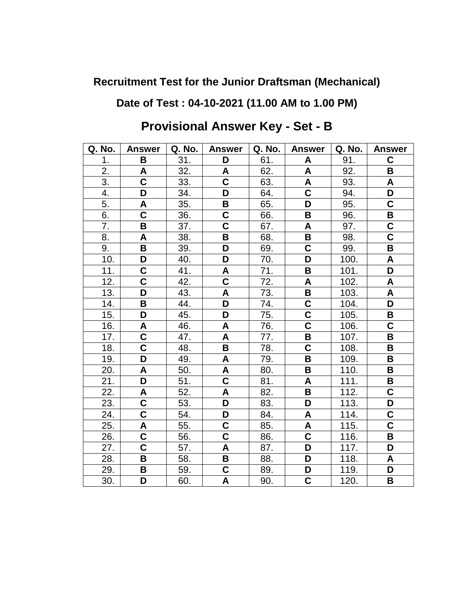## **Date of Test : 04-10-2021 (11.00 AM to 1.00 PM)**

| Q. No. | <b>Answer</b>             | Q. No. | <b>Answer</b>           | Q. No. | <b>Answer</b>           | Q. No. | <b>Answer</b>           |
|--------|---------------------------|--------|-------------------------|--------|-------------------------|--------|-------------------------|
| 1.     | B                         | 31.    | D                       | 61.    | A                       | 91.    | C                       |
| 2.     | A                         | 32.    | A                       | 62.    | A                       | 92.    | B                       |
| 3.     | $\overline{\mathbf{C}}$   | 33.    | C                       | 63.    | A                       | 93.    | A                       |
| 4.     | D                         | 34.    | D                       | 64.    | $\overline{\mathsf{C}}$ | 94.    | D                       |
| 5.     | $\boldsymbol{\mathsf{A}}$ | 35.    | B                       | 65.    | D                       | 95.    | $\mathbf C$             |
| 6.     | $\overline{\mathbf{C}}$   | 36.    | C                       | 66.    | В                       | 96.    | B                       |
| 7.     | $\overline{\mathbf{B}}$   | 37.    | $\overline{\mathsf{c}}$ | 67.    | A                       | 97.    | $\overline{\mathsf{C}}$ |
| 8.     | A                         | 38.    | B                       | 68.    | B                       | 98.    | $\overline{\textbf{C}}$ |
| 9.     | B                         | 39.    | D                       | 69.    | $\overline{\mathsf{C}}$ | 99.    | B                       |
| 10.    | D                         | 40.    | D                       | 70.    | D                       | 100.   | A                       |
| 11.    | $\overline{\mathbf{C}}$   | 41.    | A                       | 71.    | B                       | 101.   | D                       |
| 12.    | $\mathbf C$               | 42.    | $\overline{\mathbf{C}}$ | 72.    | A                       | 102.   | A                       |
| 13.    | D                         | 43.    | A                       | 73.    | B                       | 103.   | A                       |
| 14.    | B                         | 44.    | D                       | 74.    | $\mathbf C$             | 104.   | D                       |
| 15.    | D                         | 45.    | D                       | 75.    | $\overline{\mathsf{C}}$ | 105.   | B                       |
| 16.    | A                         | 46.    | A                       | 76.    | $\overline{\mathsf{c}}$ | 106.   | C                       |
| 17.    | $\overline{\mathbf{C}}$   | 47.    | A                       | 77.    | B                       | 107.   | $\mathbf B$             |
| 18.    | $\overline{\textbf{C}}$   | 48.    | B                       | 78.    | $\overline{\mathsf{C}}$ | 108.   | B                       |
| 19.    | D                         | 49.    | A                       | 79.    | B                       | 109.   | B                       |
| 20.    | A                         | 50.    | A                       | 80.    | B                       | 110.   | B                       |
| 21.    | D                         | 51.    | $\overline{\textbf{c}}$ | 81.    | A                       | 111.   | В                       |
| 22.    | A                         | 52.    | A                       | 82.    | $\overline{\mathsf{B}}$ | 112.   | $\overline{\textbf{C}}$ |
| 23.    | $\overline{\mathbf{C}}$   | 53.    | D                       | 83.    | D                       | 113.   | D                       |
| 24.    | C                         | 54.    | D                       | 84.    | A                       | 114.   | C                       |
| 25.    | A                         | 55.    | C                       | 85.    | A                       | 115.   | $\overline{\mathsf{C}}$ |
| 26.    | $\overline{\mathbf{C}}$   | 56.    | C                       | 86.    | $\overline{\mathsf{C}}$ | 116.   | B                       |
| 27.    | $\overline{\mathsf{C}}$   | 57.    | A                       | 87.    | D                       | 117.   | D                       |
| 28.    | B                         | 58.    | B                       | 88.    | D                       | 118.   | A                       |
| 29.    | В                         | 59.    | C                       | 89.    | D                       | 119.   | D                       |
| 30.    | D                         | 60.    | A                       | 90.    | $\overline{\textbf{C}}$ | 120.   | B                       |

# **Provisional Answer Key - Set - B**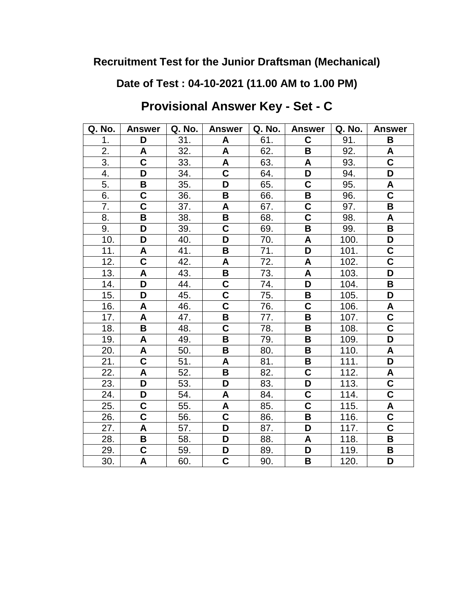**Date of Test : 04-10-2021 (11.00 AM to 1.00 PM)**

**Provisional Answer Key - Set - C**

| Q. No.           | <b>Answer</b>           | Q. No. | <b>Answer</b>             | Q. No. | <b>Answer</b>           | Q. No. | <b>Answer</b>             |
|------------------|-------------------------|--------|---------------------------|--------|-------------------------|--------|---------------------------|
| 1.               | D                       | 31.    | A                         | 61.    | C                       | 91.    | B                         |
| 2.               | A                       | 32.    | A                         | 62.    | B                       | 92.    | A                         |
| $\overline{3}$ . | $\overline{\mathsf{c}}$ | 33.    | A                         | 63.    | A                       | 93.    | $\overline{\mathbf{C}}$   |
| 4.               | D                       | 34.    | $\mathbf C$               | 64.    | D                       | 94.    | D                         |
| 5.               | B                       | 35.    | D                         | 65.    | $\overline{\mathsf{c}}$ | 95.    | $\boldsymbol{\mathsf{A}}$ |
| 6.               | $\overline{\mathbf{C}}$ | 36.    | B                         | 66.    | $\overline{\mathsf{B}}$ | 96.    | $\overline{\mathsf{c}}$   |
| 7.               | $\overline{\mathsf{c}}$ | 37.    | $\boldsymbol{\mathsf{A}}$ | 67.    | $\overline{\textbf{C}}$ | 97.    | $\, {\bf B}$              |
| 8.               | B                       | 38.    | B                         | 68.    | $\overline{\textbf{c}}$ | 98.    | A                         |
| 9.               | D                       | 39.    | C                         | 69.    | B                       | 99.    | В                         |
| 10.              | D                       | 40.    | D                         | 70.    | A                       | 100.   | D                         |
| 11.              | A                       | 41.    | B                         | 71.    | D                       | 101.   | $\mathbf C$               |
| 12.              | $\overline{\mathsf{c}}$ | 42.    | $\boldsymbol{\mathsf{A}}$ | 72.    | A                       | 102.   | $\overline{\mathsf{c}}$   |
| 13.              | A                       | 43.    | B                         | 73.    | A                       | 103.   | D                         |
| 14.              | D                       | 44.    | C                         | 74.    | D                       | 104.   | В                         |
| 15.              | D                       | 45.    | $\overline{\mathsf{C}}$   | 75.    | $\overline{\mathbf{B}}$ | 105.   | D                         |
| 16.              | A                       | 46.    | $\overline{\textbf{C}}$   | 76.    | $\overline{\textbf{C}}$ | 106.   | A                         |
| 17.              | A                       | 47.    | B                         | 77.    | B                       | 107.   | $\overline{\mathbf{C}}$   |
| 18.              | B                       | 48.    | $\mathbf C$               | 78.    | B                       | 108.   | $\mathbf C$               |
| 19.              | A                       | 49.    | B                         | 79.    | B                       | 109.   | D                         |
| 20.              | A                       | 50.    | B                         | 80.    | $\overline{\mathbf{B}}$ | 110.   | $\boldsymbol{\mathsf{A}}$ |
| 21.              | $\overline{\mathsf{c}}$ | 51.    | A                         | 81.    | В                       | 111.   | D                         |
| 22.              | A                       | 52.    | B                         | 82.    | C                       | 112.   | A                         |
| 23.              | D                       | 53.    | D                         | 83.    | D                       | 113.   | $\overline{\mathbf{C}}$   |
| 24.              | D                       | 54.    | A                         | 84.    | $\overline{\textbf{C}}$ | 114.   | $\overline{\mathsf{c}}$   |
| 25.              | C                       | 55.    | A                         | 85.    | $\overline{\textbf{c}}$ | 115.   | A                         |
| 26.              | $\overline{\mathbf{c}}$ | 56.    | $\overline{\mathsf{c}}$   | 86.    | B                       | 116.   | $\overline{\mathbf{C}}$   |
| 27.              | A                       | 57.    | D                         | 87.    | D                       | 117.   | $\overline{\mathbf{C}}$   |
| 28.              | B                       | 58.    | D                         | 88.    | A                       | 118.   | B                         |
| 29.              | $\overline{\mathbf{C}}$ | 59.    | D                         | 89.    | D                       | 119.   | B                         |
| 30.              | A                       | 60.    | $\overline{\mathsf{C}}$   | 90.    | $\overline{\mathsf{B}}$ | 120.   | D                         |